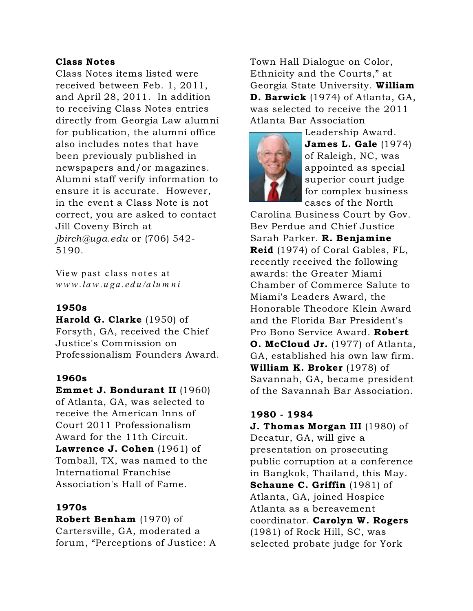## Class Notes

Class Notes items listed were received between Feb. 1, 2011, and April 28, 2011. In addition to receiving Class Notes entries directly from Georgia Law alumni for publication, the alumni office also includes notes that have been previously published in newspapers and/or magazines. Alumni staff verify information to ensure it is accurate. However, in the event a Class Note is not correct, you are asked to contact Jill Coveny Birch at *jbirch@uga.edu* or (706) 542- 5190.

View past class notes at *w w w .la w .u ga .edu/a lu m n i*

# 1950s

Harold G. Clarke (1950) of Forsyth, GA, received the Chief Justice's Commission on Professionalism Founders Award.

### 1960s

Emmet J. Bondurant II (1960) of Atlanta, GA, was selected to receive the American Inns of Court 2011 Professionalism Award for the 11th Circuit. Lawrence J. Cohen (1961) of Tomball, TX, was named to the International Franchise Association's Hall of Fame.

### 1970s

Robert Benham (1970) of Cartersville, GA, moderated a forum, "Perceptions of Justice: A Town Hall Dialogue on Color, Ethnicity and the Courts," at Georgia State University. William D. Barwick (1974) of Atlanta, GA, was selected to receive the 2011 Atlanta Bar Association



Leadership Award. James L. Gale (1974) of Raleigh, NC, was appointed as special superior court judge for complex business cases of the North

Carolina Business Court by Gov. Bev Perdue and Chief Justice Sarah Parker. R. Benjamine Reid (1974) of Coral Gables, FL, recently received the following awards: the Greater Miami Chamber of Commerce Salute to Miami's Leaders Award, the Honorable Theodore Klein Award and the Florida Bar President's Pro Bono Service Award. Robert O. McCloud Jr. (1977) of Atlanta, GA, established his own law firm. William K. Broker (1978) of Savannah, GA, became president of the Savannah Bar Association.

### 1980 - 1984

**J. Thomas Morgan III** (1980) of Decatur, GA, will give a presentation on prosecuting public corruption at a conference in Bangkok, Thailand, this May. Schaune C. Griffin (1981) of Atlanta, GA, joined Hospice Atlanta as a bereavement coordinator. Carolyn W. Rogers (1981) of Rock Hill, SC, was selected probate judge for York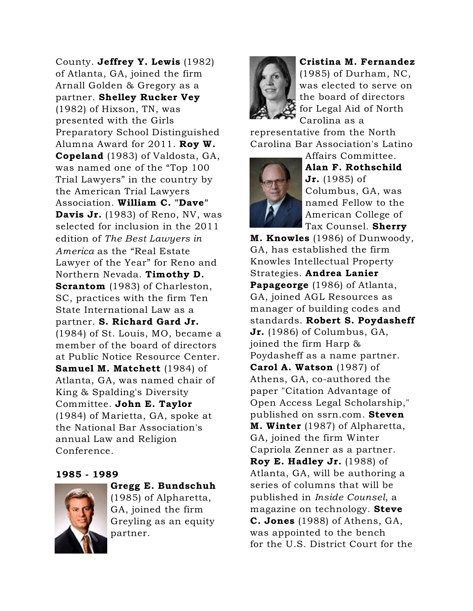County. Jeffrey Y. Lewis (1982) of Atlanta, GA, joined the firm Arnall Golden & Gregory as a partner. Shelley Rucker Vey (1982) of Hixson, TN, was presented with the Girls Preparatory School Distinguished Alumna Award for 2011. Roy W. Copeland (1983) of Valdosta, GA, was named one of the "Top 100 Trial Lawyers" in the country by the American Trial Lawyers Association. William C. "Dave" Davis Jr. (1983) of Reno, NV, was selected for inclusion in the 2011 edition of *The Best Lawyers in America* as the "Real Estate Lawyer of the Year" for Reno and Northern Nevada. Timothy D. Scrantom (1983) of Charleston, SC, practices with the firm Ten State International Law as a partner. S. Richard Gard Jr. (1984) of St. Louis, MO, became a member of the board of directors at Public Notice Resource Center. Samuel M. Matchett (1984) of Atlanta, GA, was named chair of King & Spalding's Diversity Committee. John E. Taylor (1984) of Marietta, GA, spoke at the National Bar Association's annual Law and Religion Conference.

#### 1985 - 1989



Gregg E. Bundschuh (1985) of Alpharetta, GA, joined the firm Greyling as an equity partner.



Cristina M. Fernandez (1985) of Durham, NC, was elected to serve on the board of directors for Legal Aid of North Carolina as a

representative from the North Carolina Bar Association's Latino



Affairs Committee. Alan F. Rothschild **Jr.** (1985) of Columbus, GA, was named Fellow to the American College of Tax Counsel. **Sherry** 

M. Knowles (1986) of Dunwoody, GA, has established the firm Knowles Intellectual Property Strategies. Andrea Lanier Papageorge (1986) of Atlanta, GA, joined AGL Resources as manager of building codes and standards. Robert S. Poydasheff Jr. (1986) of Columbus, GA, joined the firm Harp & Poydasheff as a name partner. Carol A. Watson (1987) of Athens, GA, co-authored the paper "Citation Advantage of Open Access Legal Scholarship," published on ssrn.com. Steven **M. Winter** (1987) of Alpharetta, GA, joined the firm Winter Capriola Zenner as a partner. Roy E. Hadley Jr. (1988) of Atlanta, GA, will be authoring a series of columns that will be published in *Inside Counsel*, a magazine on technology. Steve C. Jones (1988) of Athens, GA, was appointed to the bench for the U.S. District Court for the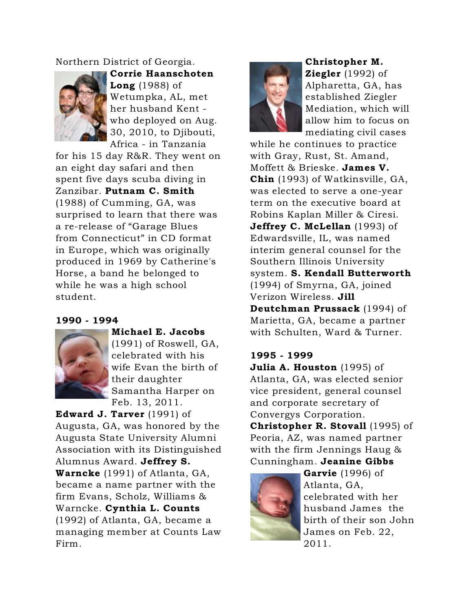## Northern District of Georgia.



Corrie Haanschoten **Long** (1988) of Wetumpka, AL, met her husband Kent who deployed on Aug. 30, 2010, to Djibouti, Africa - in Tanzania

for his 15 day R&R. They went on an eight day safari and then spent five days scuba diving in Zanzibar. Putnam C. Smith (1988) of Cumming, GA, was surprised to learn that there was a re-release of "Garage Blues from Connecticut" in CD format in Europe, which was originally produced in 1969 by Catherine's Horse, a band he belonged to while he was a high school student.

### 1990 - 1994



Michael E. Jacobs (1991) of Roswell, GA, celebrated with his wife Evan the birth of their daughter Samantha Harper on Feb. 13, 2011.

Edward J. Tarver (1991) of Augusta, GA, was honored by the Augusta State University Alumni Association with its Distinguished Alumnus Award. Jeffrey S. Warncke (1991) of Atlanta, GA, became a name partner with the firm Evans, Scholz, Williams & Warncke. Cynthia L. Counts (1992) of Atlanta, GA, became a managing member at Counts Law Firm.



Christopher M. Ziegler  $(1992)$  of Alpharetta, GA, has established Ziegler Mediation, which will allow him to focus on mediating civil cases

while he continues to practice with Gray, Rust, St. Amand, Moffett & Brieske. James V. Chin (1993) of Watkinsville, GA, was elected to serve a one-year term on the executive board at Robins Kaplan Miller & Ciresi. Jeffrey C. McLellan (1993) of Edwardsville, IL, was named interim general counsel for the Southern Illinois University system. S. Kendall Butterworth (1994) of Smyrna, GA, joined Verizon Wireless. Jill Deutchman Prussack (1994) of Marietta, GA, became a partner with Schulten, Ward & Turner.

### 1995 - 1999

Julia A. Houston (1995) of Atlanta, GA, was elected senior vice president, general counsel and corporate secretary of Convergys Corporation.

Christopher R. Stovall (1995) of Peoria, AZ, was named partner with the firm Jennings Haug & Cunningham. Jeanine Gibbs



Garvie (1996) of Atlanta, GA, celebrated with her husband James the birth of their son John James on Feb. 22, 2011.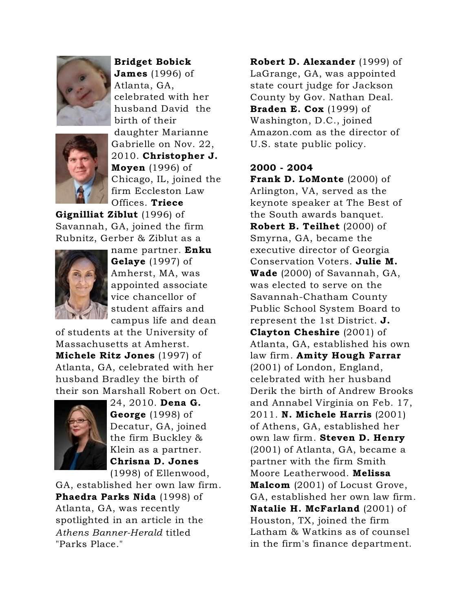

Bridget Bobick James (1996) of Atlanta, GA,

celebrated with her husband David the birth of their daughter Marianne Gabrielle on Nov. 22, 2010. Christopher J. Moyen (1996) of Chicago, IL, joined the firm Eccleston Law Offices. Triece

Gignilliat Ziblut (1996) of Savannah, GA, joined the firm Rubnitz, Gerber & Ziblut as a



name partner. Enku Gelaye (1997) of Amherst, MA, was appointed associate vice chancellor of student affairs and campus life and dean

of students at the University of Massachusetts at Amherst. Michele Ritz Jones (1997) of Atlanta, GA, celebrated with her husband Bradley the birth of their son Marshall Robert on Oct.



24, 2010. Dena G. George (1998) of Decatur, GA, joined the firm Buckley & Klein as a partner. Chrisna D. Jones (1998) of Ellenwood,

GA, established her own law firm. Phaedra Parks Nida (1998) of Atlanta, GA, was recently spotlighted in an article in the *Athens Banner-Herald* titled "Parks Place."

Robert D. Alexander (1999) of LaGrange, GA, was appointed state court judge for Jackson County by Gov. Nathan Deal. **Braden E. Cox**  $(1999)$  of Washington, D.C., joined Amazon.com as the director of U.S. state public policy.

### 2000 - 2004

Frank D. LoMonte (2000) of Arlington, VA, served as the keynote speaker at The Best of the South awards banquet. Robert B. Teilhet (2000) of Smyrna, GA, became the executive director of Georgia Conservation Voters. Julie M. Wade (2000) of Savannah, GA, was elected to serve on the Savannah-Chatham County Public School System Board to represent the 1st District. J. Clayton Cheshire (2001) of Atlanta, GA, established his own law firm. Amity Hough Farrar (2001) of London, England, celebrated with her husband Derik the birth of Andrew Brooks and Annabel Virginia on Feb. 17, 2011. N. Michele Harris (2001) of Athens, GA, established her own law firm. Steven D. Henry (2001) of Atlanta, GA, became a partner with the firm Smith Moore Leatherwood. Melissa Malcom (2001) of Locust Grove, GA, established her own law firm. Natalie H. McFarland (2001) of Houston, TX, joined the firm Latham & Watkins as of counsel in the firm's finance department.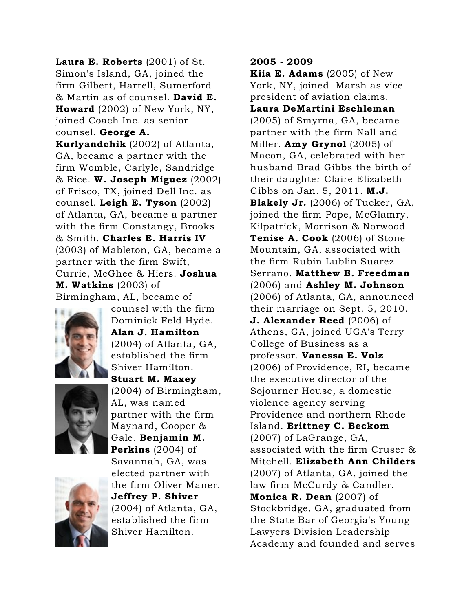Laura E. Roberts (2001) of St. Simon's Island, GA, joined the firm Gilbert, Harrell, Sumerford & Martin as of counsel. David E. Howard (2002) of New York, NY, joined Coach Inc. as senior counsel. George A. Kurlyandchik (2002) of Atlanta, GA, became a partner with the firm Womble, Carlyle, Sandridge  $\&$  Rice. W. Joseph Miguez (2002) of Frisco, TX, joined Dell Inc. as counsel. Leigh E. Tyson (2002) of Atlanta, GA, became a partner with the firm Constangy, Brooks & Smith. Charles E. Harris IV (2003) of Mableton, GA, became a partner with the firm Swift, Currie, McGhee & Hiers. Joshua M. Watkins (2003) of Birmingham, AL, became of



Dominick Feld Hyde. Alan J. Hamilton (2004) of Atlanta, GA, established the firm Shiver Hamilton. Stuart M. Maxey (2004) of Birmingham, AL, was named partner with the firm Maynard, Cooper &

counsel with the firm



Gale. Benjamin M. Perkins (2004) of Savannah, GA, was elected partner with the firm Oliver Maner. Jeffrey P. Shiver (2004) of Atlanta, GA, established the firm Shiver Hamilton.

# 2005 - 2009

Kiia E. Adams (2005) of New York, NY, joined Marsh as vice president of aviation claims. Laura DeMartini Eschleman (2005) of Smyrna, GA, became partner with the firm Nall and Miller. **Amy Grynol** (2005) of Macon, GA, celebrated with her husband Brad Gibbs the birth of their daughter Claire Elizabeth Gibbs on Jan. 5, 2011. **M.J.** Blakely Jr. (2006) of Tucker, GA, joined the firm Pope, McGlamry, Kilpatrick, Morrison & Norwood. Tenise A. Cook (2006) of Stone Mountain, GA, associated with the firm Rubin Lublin Suarez Serrano. Matthew B. Freedman (2006) and Ashley M. Johnson (2006) of Atlanta, GA, announced their marriage on Sept. 5, 2010. **J. Alexander Reed** (2006) of Athens, GA, joined UGA's Terry College of Business as a professor. Vanessa E. Volz (2006) of Providence, RI, became the executive director of the Sojourner House, a domestic violence agency serving Providence and northern Rhode Island. Brittney C. Beckom (2007) of LaGrange, GA, associated with the firm Cruser & Mitchell. Elizabeth Ann Childers (2007) of Atlanta, GA, joined the law firm McCurdy & Candler. Monica R. Dean (2007) of Stockbridge, GA, graduated from the State Bar of Georgia's Young Lawyers Division Leadership Academy and founded and serves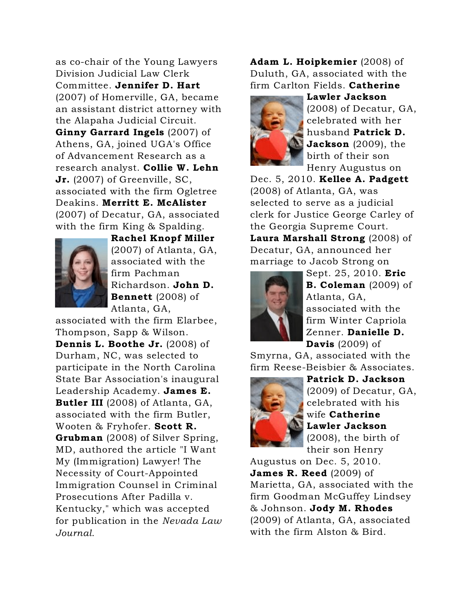as co-chair of the Young Lawyers Division Judicial Law Clerk Committee. Jennifer D. Hart (2007) of Homerville, GA, became an assistant district attorney with the Alapaha Judicial Circuit. Ginny Garrard Ingels (2007) of Athens, GA, joined UGA's Office of Advancement Research as a research analyst. Collie W. Lehn Jr. (2007) of Greenville, SC, associated with the firm Ogletree Deakins. Merritt E. McAlister (2007) of Decatur, GA, associated with the firm King & Spalding.



Rachel Knopf Miller (2007) of Atlanta, GA, associated with the firm Pachman Richardson. John D. Bennett (2008) of Atlanta, GA,

associated with the firm Elarbee, Thompson, Sapp & Wilson. Dennis L. Boothe Jr. (2008) of Durham, NC, was selected to participate in the North Carolina State Bar Association's inaugural Leadership Academy. James E. Butler III (2008) of Atlanta, GA, associated with the firm Butler, Wooten & Fryhofer. Scott R. Grubman (2008) of Silver Spring, MD, authored the article "I Want My (Immigration) Lawyer! The Necessity of Court-Appointed Immigration Counsel in Criminal Prosecutions After Padilla v. Kentucky," which was accepted for publication in the *Nevada Law Journal*.

Adam L. Hoipkemier (2008) of Duluth, GA, associated with the firm Carlton Fields. Catherine



Lawler Jackson (2008) of Decatur, GA, celebrated with her husband Patrick D. Jackson (2009), the birth of their son Henry Augustus on

Dec. 5, 2010. Kellee A. Padgett (2008) of Atlanta, GA, was selected to serve as a judicial clerk for Justice George Carley of the Georgia Supreme Court. Laura Marshall Strong (2008) of Decatur, GA, announced her marriage to Jacob Strong on



Sept. 25, 2010. Eric **B. Coleman** (2009) of Atlanta, GA, associated with the firm Winter Capriola Zenner. Danielle D. Davis (2009) of

Smyrna, GA, associated with the firm Reese-Beisbier & Associates.



Patrick D. Jackson (2009) of Decatur, GA, celebrated with his wife Catherine Lawler Jackson (2008), the birth of their son Henry

Augustus on Dec. 5, 2010. **James R. Reed**  $(2009)$  of Marietta, GA, associated with the firm Goodman McGuffey Lindsey & Johnson. Jody M. Rhodes (2009) of Atlanta, GA, associated with the firm Alston & Bird.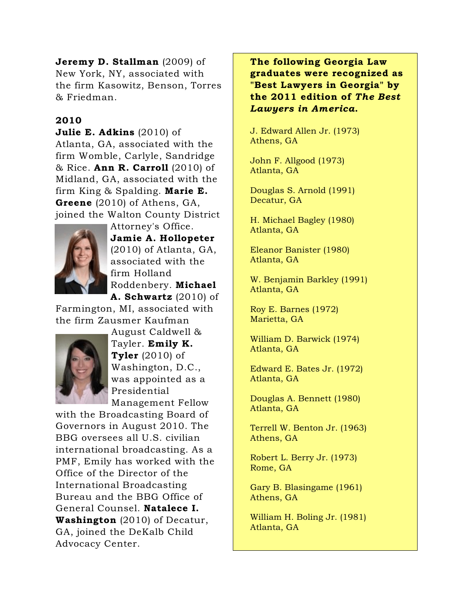## Jeremy D. Stallman (2009) of New York, NY, associated with the firm Kasowitz, Benson, Torres & Friedman.

### 2010

## Julie E. Adkins (2010) of

Atlanta, GA, associated with the firm Womble, Carlyle, Sandridge  $\&$  Rice. Ann R. Carroll (2010) of Midland, GA, associated with the firm King & Spalding. Marie E. Greene (2010) of Athens, GA, joined the Walton County District



Attorney's Office. Jamie A. Hollopeter (2010) of Atlanta, GA, associated with the firm Holland Roddenbery. Michael A. Schwartz (2010) of

Farmington, MI, associated with the firm Zausmer Kaufman



August Caldwell & Tayler. Emily K. **Tyler** (2010) of Washington, D.C., was appointed as a Presidential Management Fellow

with the Broadcasting Board of Governors in August 2010. The BBG oversees all U.S. civilian international broadcasting. As a PMF, Emily has worked with the Office of the Director of the International Broadcasting Bureau and the BBG Office of General Counsel. Natalece I. Washington (2010) of Decatur, GA, joined the DeKalb Child Advocacy Center.

The following Georgia Law graduates were recognized as "Best Lawyers in Georgia" by the 2011 edition of *The Best Lawyers in America*.

J. Edward Allen Jr. (1973) Athens, GA

John F. Allgood (1973) Atlanta, GA

Douglas S. Arnold (1991) Decatur, GA

H. Michael Bagley (1980) Atlanta, GA

Eleanor Banister (1980) Atlanta, GA

W. Benjamin Barkley (1991) Atlanta, GA

Roy E. Barnes (1972) Marietta, GA

William D. Barwick (1974) Atlanta, GA

Edward E. Bates Jr. (1972) Atlanta, GA

Douglas A. Bennett (1980) Atlanta, GA

Terrell W. Benton Jr. (1963) Athens, GA

Robert L. Berry Jr. (1973) Rome, GA

Gary B. Blasingame (1961) Athens, GA

William H. Boling Jr. (1981) Atlanta, GA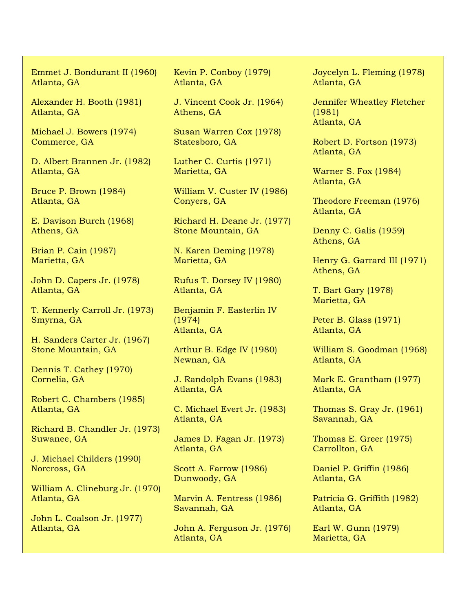Emmet J. Bondurant II (1960) Atlanta, GA

Alexander H. Booth (1981) Atlanta, GA

Michael J. Bowers (1974) Commerce, GA

D. Albert Brannen Jr. (1982) Atlanta, GA

Bruce P. Brown (1984) Atlanta, GA

E. Davison Burch (1968) Athens, GA

Brian P. Cain (1987) Marietta, GA

John D. Capers Jr. (1978) Atlanta, GA

T. Kennerly Carroll Jr. (1973) Smyrna, GA

H. Sanders Carter Jr. (1967) Stone Mountain, GA

Dennis T. Cathey (1970) Cornelia, GA

Robert C. Chambers (1985) Atlanta, GA

Richard B. Chandler Jr. (1973) Suwanee, GA

J. Michael Childers (1990) Norcross, GA

William A. Clineburg Jr. (1970) Atlanta, GA

John L. Coalson Jr. (1977) Atlanta, GA

Kevin P. Conboy (1979) Atlanta, GA

J. Vincent Cook Jr. (1964) Athens, GA

Susan Warren Cox (1978) Statesboro, GA

Luther C. Curtis (1971) Marietta, GA

William V. Custer IV (1986) Conyers, GA

Richard H. Deane Jr. (1977) Stone Mountain, GA

N. Karen Deming (1978) Marietta, GA

Rufus T. Dorsey IV (1980) Atlanta, GA

Benjamin F. Easterlin IV (1974) Atlanta, GA

Arthur B. Edge IV (1980) Newnan, GA

J. Randolph Evans (1983) Atlanta, GA

C. Michael Evert Jr. (1983) Atlanta, GA

James D. Fagan Jr. (1973) Atlanta, GA

Scott A. Farrow (1986) Dunwoody, GA

Marvin A. Fentress (1986) Savannah, GA

John A. Ferguson Jr. (1976) Atlanta, GA

Joycelyn L. Fleming (1978) Atlanta, GA

Jennifer Wheatley Fletcher (1981) Atlanta, GA

Robert D. Fortson (1973) Atlanta, GA

Warner S. Fox (1984) Atlanta, GA

Theodore Freeman (1976) Atlanta, GA

Denny C. Galis (1959) Athens, GA

Henry G. Garrard III (1971) Athens, GA

T. Bart Gary (1978) Marietta, GA

Peter B. Glass (1971) Atlanta, GA

William S. Goodman (1968) Atlanta, GA

Mark E. Grantham (1977) Atlanta, GA

Thomas S. Gray Jr. (1961) Savannah, GA

Thomas E. Greer (1975) Carrollton, GA

Daniel P. Griffin (1986) Atlanta, GA

Patricia G. Griffith (1982) Atlanta, GA

Earl W. Gunn (1979) Marietta, GA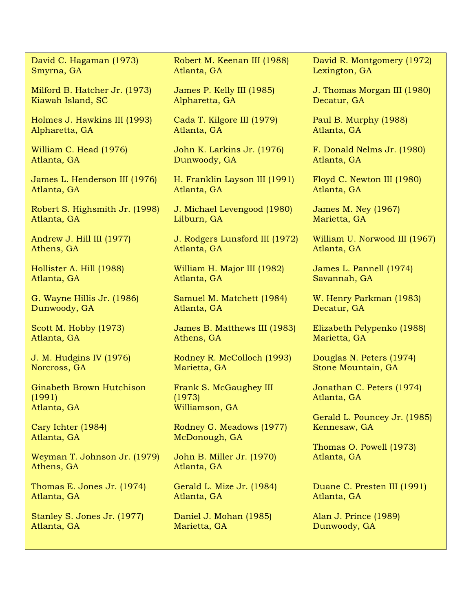David C. Hagaman (1973) Smyrna, GA

Milford B. Hatcher Jr. (1973) Kiawah Island, SC

Holmes J. Hawkins III (1993) Alpharetta, GA

William C. Head (1976) Atlanta, GA

James L. Henderson III (1976) Atlanta, GA

Robert S. Highsmith Jr. (1998) Atlanta, GA

Andrew J. Hill III (1977) Athens, GA

Hollister A. Hill (1988) Atlanta, GA

G. Wayne Hillis Jr. (1986) Dunwoody, GA

Scott M. Hobby (1973) Atlanta, GA

J. M. Hudgins IV (1976) Norcross, GA

Ginabeth Brown Hutchison (1991) Atlanta, GA

Cary Ichter (1984) Atlanta, GA

Weyman T. Johnson Jr. (1979) Athens, GA

Thomas E. Jones Jr. (1974) Atlanta, GA

Stanley S. Jones Jr. (1977) Atlanta, GA

Robert M. Keenan III (1988) Atlanta, GA

James P. Kelly III (1985) Alpharetta, GA

Cada T. Kilgore III (1979) Atlanta, GA

John K. Larkins Jr. (1976) Dunwoody, GA

H. Franklin Layson III (1991) Atlanta, GA

J. Michael Levengood (1980) Lilburn, GA

J. Rodgers Lunsford III (1972) Atlanta, GA

William H. Major III (1982) Atlanta, GA

Samuel M. Matchett (1984) Atlanta, GA

James B. Matthews III (1983) Athens, GA

Rodney R. McColloch (1993) Marietta, GA

Frank S. McGaughey III (1973) Williamson, GA

Rodney G. Meadows (1977) McDonough, GA

John B. Miller Jr. (1970) Atlanta, GA

Gerald L. Mize Jr. (1984) Atlanta, GA

Daniel J. Mohan (1985) Marietta, GA

David R. Montgomery (1972) Lexington, GA

J. Thomas Morgan III (1980) Decatur, GA

Paul B. Murphy (1988) Atlanta, GA

F. Donald Nelms Jr. (1980) Atlanta, GA

Floyd C. Newton III (1980) Atlanta, GA

James M. Ney (1967) Marietta, GA

William U. Norwood III (1967) Atlanta, GA

James L. Pannell (1974) Savannah, GA

W. Henry Parkman (1983) Decatur, GA

Elizabeth Pelypenko (1988) Marietta, GA

Douglas N. Peters (1974) Stone Mountain, GA

Jonathan C. Peters (1974) Atlanta, GA

Gerald L. Pouncey Jr. (1985) Kennesaw, GA

Thomas O. Powell (1973) Atlanta, GA

Duane C. Presten III (1991) Atlanta, GA

Alan J. Prince (1989) Dunwoody, GA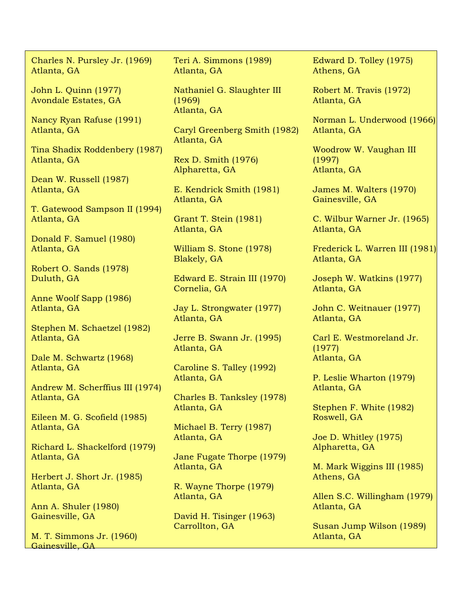Charles N. Pursley Jr. (1969) Atlanta, GA

John L. Quinn (1977) Avondale Estates, GA

Nancy Ryan Rafuse (1991) Atlanta, GA

Tina Shadix Roddenbery (1987) Atlanta, GA

Dean W. Russell (1987) Atlanta, GA

T. Gatewood Sampson II (1994) Atlanta, GA

Donald F. Samuel (1980) Atlanta, GA

Robert O. Sands (1978) Duluth, GA

Anne Woolf Sapp (1986) Atlanta, GA

Stephen M. Schaetzel (1982) Atlanta, GA

Dale M. Schwartz (1968) Atlanta, GA

Andrew M. Scherffius III (1974) Atlanta, GA

Eileen M. G. Scofield (1985) Atlanta, GA

Richard L. Shackelford (1979) Atlanta, GA

Herbert J. Short Jr. (1985) Atlanta, GA

Ann A. Shuler (1980) Gainesville, GA

M. T. Simmons Jr. (1960) Gainesville, GA

Teri A. Simmons (1989) Atlanta, GA

Nathaniel G. Slaughter III (1969) Atlanta, GA

Caryl Greenberg Smith (1982) Atlanta, GA

Rex D. Smith (1976) Alpharetta, GA

E. Kendrick Smith (1981) Atlanta, GA

Grant T. Stein (1981) Atlanta, GA

William S. Stone (1978) Blakely, GA

Edward E. Strain III (1970) Cornelia, GA

Jay L. Strongwater (1977) Atlanta, GA

Jerre B. Swann Jr. (1995) Atlanta, GA

Caroline S. Talley (1992) Atlanta, GA

Charles B. Tanksley (1978) Atlanta, GA

Michael B. Terry (1987) Atlanta, GA

Jane Fugate Thorpe (1979) Atlanta, GA

R. Wayne Thorpe (1979) Atlanta, GA

David H. Tisinger (1963) Carrollton, GA

Edward D. Tolley (1975) Athens, GA

Robert M. Travis (1972) Atlanta, GA

Norman L. Underwood (1966) Atlanta, GA

Woodrow W. Vaughan III (1997) Atlanta, GA

James M. Walters (1970) Gainesville, GA

C. Wilbur Warner Jr. (1965) Atlanta, GA

Frederick L. Warren III (1981) Atlanta, GA

Joseph W. Watkins (1977) Atlanta, GA

John C. Weitnauer (1977) Atlanta, GA

Carl E. Westmoreland Jr. (1977) Atlanta, GA

P. Leslie Wharton (1979) Atlanta, GA

Stephen F. White (1982) Roswell, GA

Joe D. Whitley (1975) Alpharetta, GA

M. Mark Wiggins III (1985) Athens, GA

Allen S.C. Willingham (1979) Atlanta, GA

Susan Jump Wilson (1989) Atlanta, GA